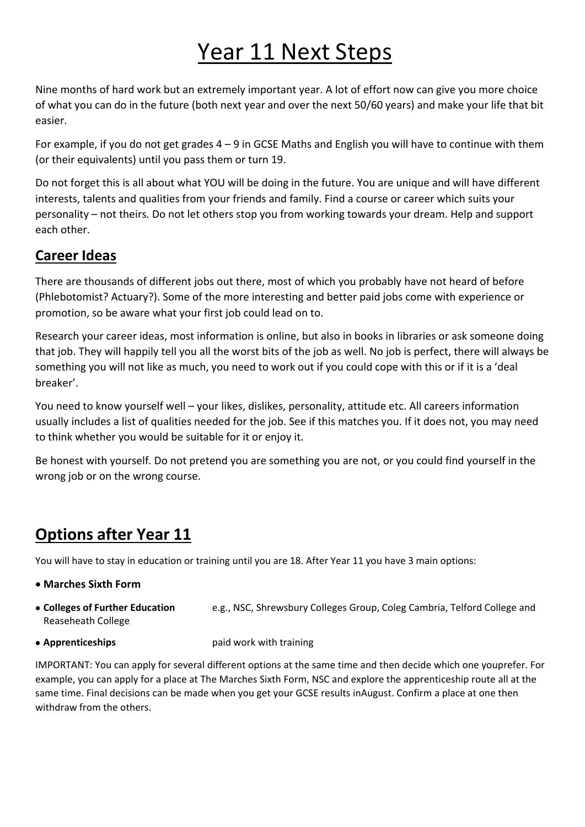# Year 11 Next Steps

Nine months of hard work but an extremely important year. A lot of effort now can give you more choice of what you can do in the future (both next year and over the next 50/60 years) and make your life that bit easier.

For example, if you do not get grades 4 – 9 in GCSE Maths and English you will have to continue with them (or their equivalents) until you pass them or turn 19.

Do not forget this is all about what YOU will be doing in the future. You are unique and will have different interests, talents and qualities from your friends and family. Find a course or career which suits your personality – not theirs. Do not let others stop you from working towards your dream. Help and support each other.

### **Career Ideas**

There are thousands of different jobs out there, most of which you probably have not heard of before (Phlebotomist? Actuary?). Some of the more interesting and better paid jobs come with experience or promotion, so be aware what your first job could lead on to.

Research your career ideas, most information is online, but also in books in libraries or ask someone doing that job. They will happily tell you all the worst bits of the job as well. No job is perfect, there will always be something you will not like as much, you need to work out if you could cope with this or if it is a 'deal breaker'.

You need to know yourself well – your likes, dislikes, personality, attitude etc. All careers information usually includes a list of qualities needed for the job. See if this matches you. If it does not, you may need to think whether you would be suitable for it or enjoy it.

Be honest with yourself. Do not pretend you are something you are not, or you could find yourself in the wrong job or on the wrong course.

## **Options after Year 11**

You will have to stay in education or training until you are 18. After Year 11 you have 3 main options:

- **Marches Sixth Form**
- **Colleges of Further Education** e.g., NSC, Shrewsbury Colleges Group, Coleg Cambria, Telford College and Reaseheath College
- **Apprenticeships a** paid work with training

IMPORTANT: You can apply for several different options at the same time and then decide which one youprefer. For example, you can apply for a place at The Marches Sixth Form, NSC and explore the apprenticeship route all at the same time. Final decisions can be made when you get your GCSE results inAugust. Confirm a place at one then withdraw from the others.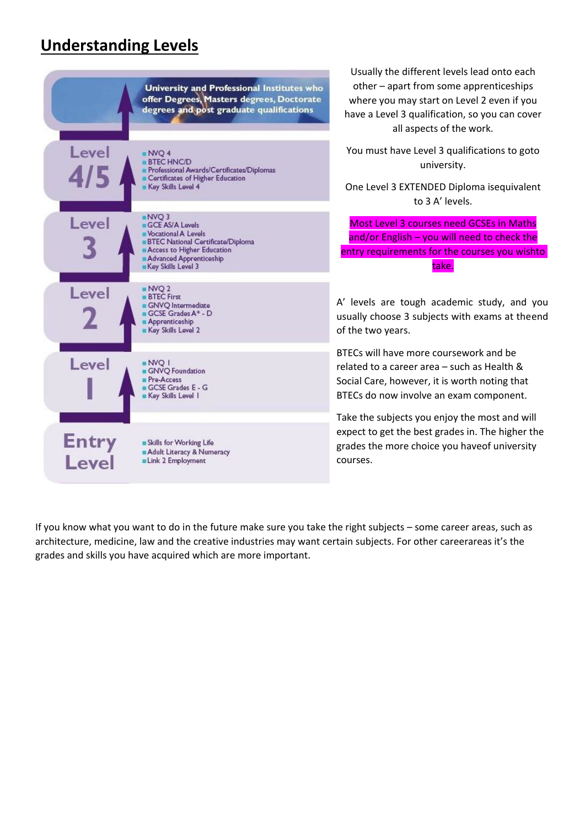### **Understanding Levels**



Usually the different levels lead onto each other – apart from some apprenticeships where you may start on Level 2 even if you have a Level 3 qualification, so you can cover all aspects of the work.

You must have Level 3 qualifications to goto university.

One Level 3 EXTENDED Diploma isequivalent to 3 A' levels.

Most Level 3 courses need GCSEs in Maths and/or English – you will need to check the entry requirements for the courses you wishto take.

A' levels are tough academic study, and you usually choose 3 subjects with exams at theend of the two years.

BTECs will have more coursework and be related to a career area – such as Health & Social Care, however, it is worth noting that BTECs do now involve an exam component.

Take the subjects you enjoy the most and will expect to get the best grades in. The higher the grades the more choice you haveof university courses.

If you know what you want to do in the future make sure you take the right subjects – some career areas, such as architecture, medicine, law and the creative industries may want certain subjects. For other careerareas it's the grades and skills you have acquired which are more important.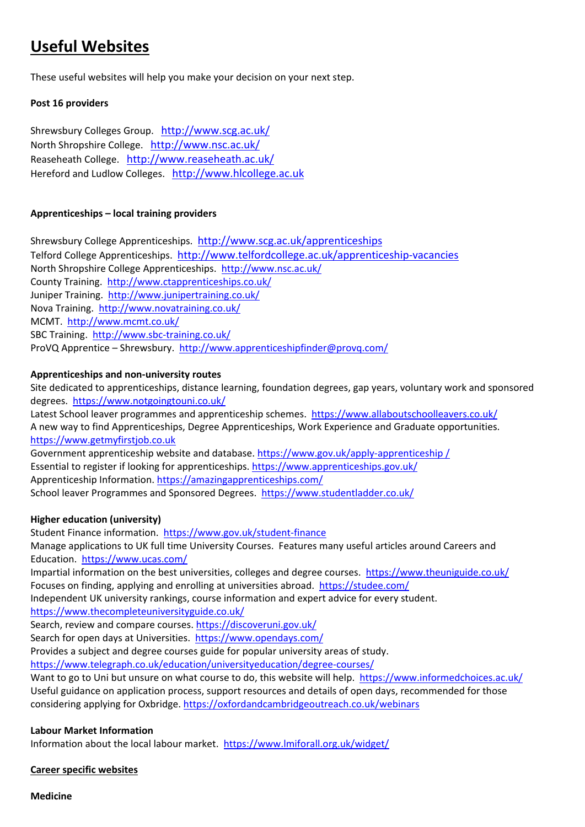### **Useful Websites**

These useful websites will help you make your decision on your next step.

#### **Post 16 providers**

Shrewsbury Colleges Group. http://www.scg.ac.uk/ North Shropshire College. http://www.nsc.ac.uk/ Reaseheath College. http://www.reaseheath.ac.uk/ Hereford and Ludlow Colleges. http://www.hlcollege.ac.uk

#### **Apprenticeships – local training providers**

Shrewsbury College Apprenticeships. http://www.scg.ac.uk/apprenticeships Telford College Apprenticeships. http://www.telfordcollege.ac.uk/apprenticeship-vacancies North Shropshire College Apprenticeships. http://www.nsc.ac.uk/ County Training. http://www.ctapprenticeships.co.uk/ Juniper Training. http://www.junipertraining.co.uk/ Nova Training. http://www.novatraining.co.uk/ MCMT. http://www.mcmt.co.uk/ SBC Training. http://www.sbc‐training.co.uk/ ProVQ Apprentice – Shrewsbury. http://www.apprenticeshipfinder@provq.com/

#### **Apprenticeships and non‐university routes**

Site dedicated to apprenticeships, distance learning, foundation degrees, gap years, voluntary work and sponsored degrees. https://www.notgoingtouni.co.uk/

Latest School leaver programmes and apprenticeship schemes. https://www.allaboutschoolleavers.co.uk/ A new way to find Apprenticeships, Degree Apprenticeships, Work Experience and Graduate opportunities. https://www.getmyfirstjob.co.uk

Government apprenticeship website and database. https://www.gov.uk/apply-apprenticeship / Essential to register if looking for apprenticeships. https://www.apprenticeships.gov.uk/ Apprenticeship Information. https://amazingapprenticeships.com/ School leaver Programmes and Sponsored Degrees. https://www.studentladder.co.uk/

#### **Higher education (university)**

Student Finance information. https://www.gov.uk/student-finance Manage applications to UK full time University Courses. Features many useful articles around Careers and Education. https://www.ucas.com/ Impartial information on the best universities, colleges and degree courses. https://www.theuniguide.co.uk/ Focuses on finding, applying and enrolling at universities abroad. https://studee.com/ Independent UK university rankings, course information and expert advice for every student. https://www.thecompleteuniversityguide.co.uk/ Search, review and compare courses. https://discoveruni.gov.uk/ Search for open days at Universities. https://www.opendays.com/

Provides a subject and degree courses guide for popular university areas of study.

https://www.telegraph.co.uk/education/universityeducation/degree‐courses/

Want to go to Uni but unsure on what course to do, this website will help. https://www.informedchoices.ac.uk/ Useful guidance on application process, support resources and details of open days, recommended for those considering applying for Oxbridge. https://oxfordandcambridgeoutreach.co.uk/webinars

#### **Labour Market Information**

Information about the local labour market. https://www.lmiforall.org.uk/widget/

**Career specific websites**

**Medicine**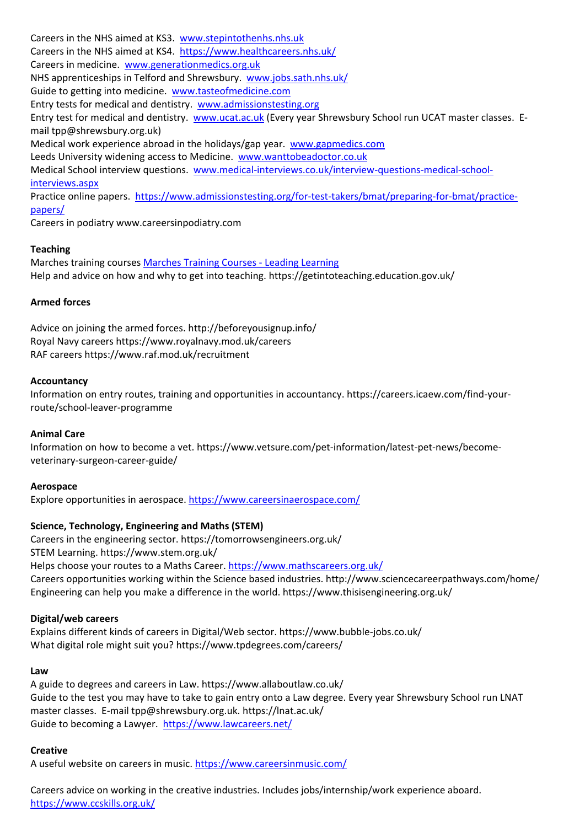Careers in the NHS aimed at KS3. www.stepintothenhs.nhs.uk Careers in the NHS aimed at KS4. https://www.healthcareers.nhs.uk/ Careers in medicine. www.generationmedics.org.uk NHS apprenticeships in Telford and Shrewsbury. www.jobs.sath.nhs.uk/ Guide to getting into medicine. www.tasteofmedicine.com Entry tests for medical and dentistry. www.admissionstesting.org Entry test for medical and dentistry. www.ucat.ac.uk (Every year Shrewsbury School run UCAT master classes. E‐ mail tpp@shrewsbury.org.uk) Medical work experience abroad in the holidays/gap year. www.gapmedics.com Leeds University widening access to Medicine. www.wanttobeadoctor.co.uk Medical School interview questions. www.medical-interviews.co.uk/interview-questions-medical-schoolinterviews.aspx Practice online papers. https://www.admissionstesting.org/for-test-takers/bmat/preparing-for-bmat/practicepapers/

Careers in podiatry www.careersinpodiatry.com

#### **Teaching**

Marches training courses Marches Training Courses ‐ Leading Learning Help and advice on how and why to get into teaching. https://getintoteaching.education.gov.uk/

#### **Armed forces**

Advice on joining the armed forces. http://beforeyousignup.info/ Royal Navy careers https://www.royalnavy.mod.uk/careers RAF careers https://www.raf.mod.uk/recruitment

#### **Accountancy**

Information on entry routes, training and opportunities in accountancy. https://careers.icaew.com/find‐your‐ route/school‐leaver‐programme

#### **Animal Care**

Information on how to become a vet. https://www.vetsure.com/pet‐information/latest‐pet‐news/become‐ veterinary‐surgeon‐career‐guide/

#### **Aerospace**

Explore opportunities in aerospace. https://www.careersinaerospace.com/

#### **Science, Technology, Engineering and Maths (STEM)**

Careers in the engineering sector. https://tomorrowsengineers.org.uk/ STEM Learning. https://www.stem.org.uk/ Helps choose your routes to a Maths Career. https://www.mathscareers.org.uk/ Careers opportunities working within the Science based industries. http://www.sciencecareerpathways.com/home/ Engineering can help you make a difference in the world. https://www.thisisengineering.org.uk/

#### **Digital/web careers**

Explains different kinds of careers in Digital/Web sector. https://www.bubble‐jobs.co.uk/ What digital role might suit you? https://www.tpdegrees.com/careers/

#### **Law**

A guide to degrees and careers in Law. https://www.allaboutlaw.co.uk/ Guide to the test you may have to take to gain entry onto a Law degree. Every year Shrewsbury School run LNAT master classes. E-mail tpp@shrewsbury.org.uk. https://lnat.ac.uk/ Guide to becoming a Lawyer. https://www.lawcareers.net/

#### **Creative**

A useful website on careers in music. https://www.careersinmusic.com/

Careers advice on working in the creative industries. Includes jobs/internship/work experience aboard. https://www.ccskills.org.uk/